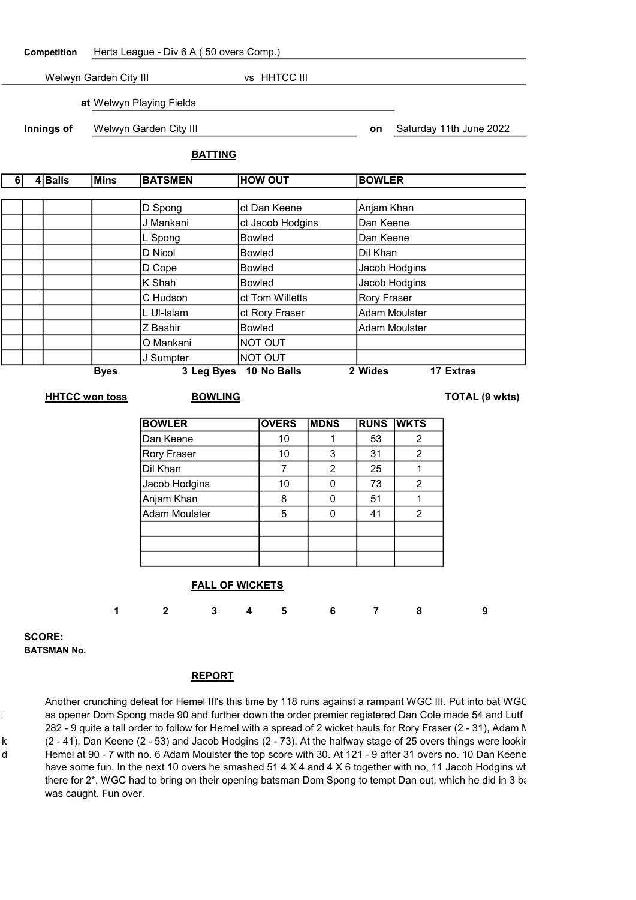Competition Herts League - Div 6 A ( 50 overs Comp.)

Welwyn Garden City III vs HHTCC III

at Welwyn Playing Fields

**Innings of** Welwyn Garden City III **and Secure 2022 on** Saturday 11th June 2022

# BATTING

| 6 | 4 Balls | Mins        | <b>BATSMEN</b> | <b>HOW OUT</b>   | <b>BOWLER</b>        |
|---|---------|-------------|----------------|------------------|----------------------|
|   |         |             |                |                  |                      |
|   |         |             | D Spong        | ct Dan Keene     | Anjam Khan           |
|   |         |             | J Mankani      | ct Jacob Hodgins | Dan Keene            |
|   |         |             | L Spong        | <b>Bowled</b>    | Dan Keene            |
|   |         |             | D Nicol        | <b>Bowled</b>    | Dil Khan             |
|   |         |             | D Cope         | <b>Bowled</b>    | Jacob Hodgins        |
|   |         |             | K Shah         | <b>Bowled</b>    | Jacob Hodgins        |
|   |         |             | C Hudson       | ct Tom Willetts  | <b>Rory Fraser</b>   |
|   |         |             | L UI-Islam     | ct Rory Fraser   | <b>Adam Moulster</b> |
|   |         |             | Z Bashir       | <b>Bowled</b>    | <b>Adam Moulster</b> |
|   |         |             | O Mankani      | NOT OUT          |                      |
|   |         |             | J Sumpter      | <b>NOT OUT</b>   |                      |
|   |         | <b>Byes</b> | 3 Leg Byes     | 10 No Balls      | 2 Wides<br>17 Extras |

### **HHTCC won toss BOWLING TOTAL (9 wkts)**

| <b>BOWLER</b>        | <b>OVERS</b> | <b>MDNS</b> | <b>RUNS</b> | <b>WKTS</b> |
|----------------------|--------------|-------------|-------------|-------------|
| Dan Keene            | 10           |             | 53          | 2           |
| <b>Rory Fraser</b>   | 10           | 3           | 31          | 2           |
| Dil Khan             |              | 2           | 25          |             |
| Jacob Hodgins        | 10           |             | 73          | 2           |
| Anjam Khan           | 8            |             | 51          |             |
| <b>Adam Moulster</b> | 5            |             | 41          | 2           |
|                      |              |             |             |             |
|                      |              |             |             |             |
|                      |              |             |             |             |

### FALL OF WICKETS

1 2 3 4 5 6 7 8 9

SCORE: BATSMAN No.

### REPORT

Another crunching defeat for Hemel III's this time by 118 runs against a rampant WGC III. Put into bat WGC as opener Dom Spong made 90 and further down the order premier registered Dan Cole made 54 and Lutfl 282 - 9 quite a tall order to follow for Hemel with a spread of 2 wicket hauls for Rory Fraser (2 - 31), Adam  $\Lambda$ k (2 - 41), Dan Keene (2 - 53) and Jacob Hodgins (2 - 73). At the halfway stage of 25 overs things were lookir d Hemel at 90 - 7 with no. 6 Adam Moulster the top score with 30. At 121 - 9 after 31 overs no. 10 Dan Keene have some fun. In the next 10 overs he smashed  $514 \times 4$  and  $4 \times 6$  together with no, 11 Jacob Hodgins who there for 2<sup>\*</sup>. WGC had to bring on their opening batsman Dom Spong to tempt Dan out, which he did in 3 balls was caught. Fun over.